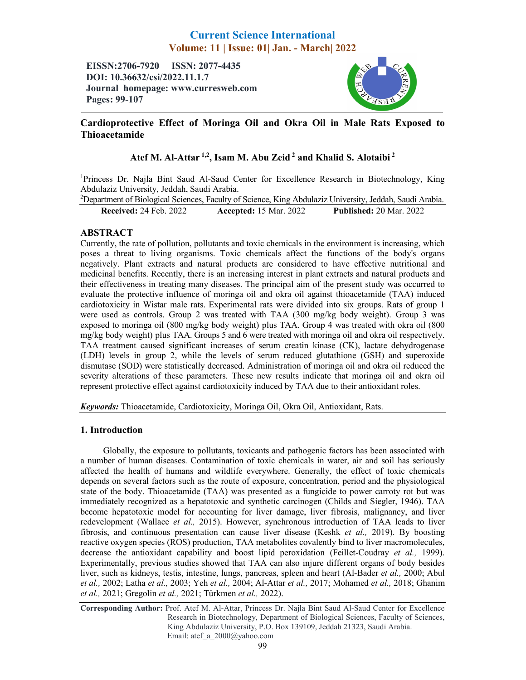# Current Science International Volume: 11 | Issue: 01| Jan. - March| 2022

EISSN:2706-7920 ISSN: 2077-4435 DOI: 10.36632/csi/2022.11.1.7 Journal homepage: www.curresweb.com Pages: 99-107



## Cardioprotective Effect of Moringa Oil and Okra Oil in Male Rats Exposed to Thioacetamide

## Atef M. Al-Attar<sup>1,2</sup>, Isam M. Abu Zeid<sup>2</sup> and Khalid S. Alotaibi<sup>2</sup>

<sup>1</sup>Princess Dr. Najla Bint Saud Al-Saud Center for Excellence Research in Biotechnology, King Abdulaziz University, Jeddah, Saudi Arabia.

<sup>2</sup>Department of Biological Sciences, Faculty of Science, King Abdulaziz University, Jeddah, Saudi Arabia.

Received: 24 Feb. 2022 Accepted: 15 Mar. 2022 Published: 20 Mar. 2022

### ABSTRACT

Currently, the rate of pollution, pollutants and toxic chemicals in the environment is increasing, which poses a threat to living organisms. Toxic chemicals affect the functions of the body's organs negatively. Plant extracts and natural products are considered to have effective nutritional and medicinal benefits. Recently, there is an increasing interest in plant extracts and natural products and their effectiveness in treating many diseases. The principal aim of the present study was occurred to evaluate the protective influence of moringa oil and okra oil against thioacetamide (TAA) induced cardiotoxicity in Wistar male rats. Experimental rats were divided into six groups. Rats of group 1 were used as controls. Group 2 was treated with TAA (300 mg/kg body weight). Group 3 was exposed to moringa oil (800 mg/kg body weight) plus TAA. Group 4 was treated with okra oil (800 mg/kg body weight) plus TAA. Groups 5 and 6 were treated with moringa oil and okra oil respectively. TAA treatment caused significant increases of serum creatin kinase (CK), lactate dehydrogenase (LDH) levels in group 2, while the levels of serum reduced glutathione (GSH) and superoxide dismutase (SOD) were statistically decreased. Administration of moringa oil and okra oil reduced the severity alterations of these parameters. These new results indicate that moringa oil and okra oil represent protective effect against cardiotoxicity induced by TAA due to their antioxidant roles.

*Keywords:* Thioacetamide, Cardiotoxicity, Moringa Oil, Okra Oil, Antioxidant, Rats.

### 1. Introduction

Globally, the exposure to pollutants, toxicants and pathogenic factors has been associated with a number of human diseases. Contamination of toxic chemicals in water, air and soil has seriously affected the health of humans and wildlife everywhere. Generally, the effect of toxic chemicals depends on several factors such as the route of exposure, concentration, period and the physiological state of the body. Thioacetamide (TAA) was presented as a fungicide to power carroty rot but was immediately recognized as a hepatotoxic and synthetic carcinogen (Childs and Siegler, 1946). TAA become hepatotoxic model for accounting for liver damage, liver fibrosis, malignancy, and liver redevelopment (Wallace *et al.,* 2015). However, synchronous introduction of TAA leads to liver fibrosis, and continuous presentation can cause liver disease (Keshk *et al.,* 2019). By boosting reactive oxygen species (ROS) production, TAA metabolites covalently bind to liver macromolecules, decrease the antioxidant capability and boost lipid peroxidation (Feillet-Coudray *et al.,* 1999). Experimentally, previous studies showed that TAA can also injure different organs of body besides liver, such as kidneys, testis, intestine, lungs, pancreas, spleen and heart (Al-Bader *et al.,* 2000; Abul *et al.,* 2002; Latha *et al.,* 2003; Yeh *et al.,* 2004; Al-Attar *et al.,* 2017; Mohamed *et al.,* 2018; Ghanim *et al.,* 2021; Gregolin *et al.,* 2021; Türkmen *et al.,* 2022).

Corresponding Author: Prof. Atef M. Al-Attar, Princess Dr. Najla Bint Saud Al-Saud Center for Excellence Research in Biotechnology, Department of Biological Sciences, Faculty of Sciences, King Abdulaziz University, P.O. Box 139109, Jeddah 21323, Saudi Arabia. Email: atef\_a\_2000@yahoo.com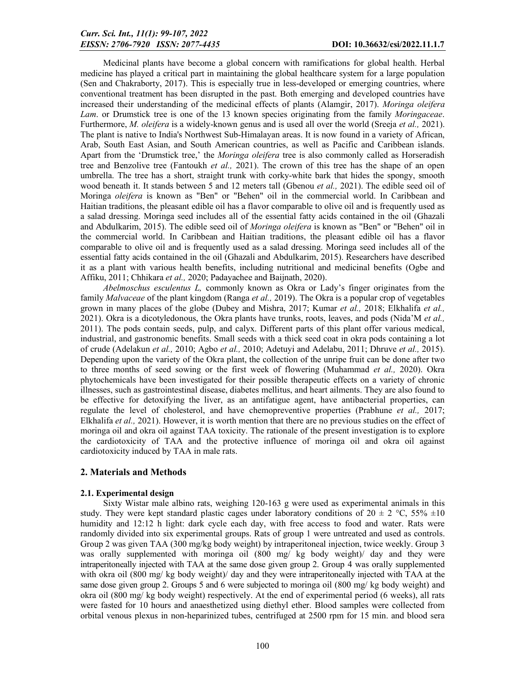Medicinal plants have become a global concern with ramifications for global health. Herbal medicine has played a critical part in maintaining the global healthcare system for a large population (Sen and Chakraborty, 2017). This is especially true in less-developed or emerging countries, where conventional treatment has been disrupted in the past. Both emerging and developed countries have increased their understanding of the medicinal effects of plants (Alamgir, 2017). *Moringa oleifera Lam*. or Drumstick tree is one of the 13 known species originating from the family *Moringaceae*. Furthermore, *M. oleifera* is a widely-known genus and is used all over the world (Sreeja *et al.,* 2021). The plant is native to India's Northwest Sub-Himalayan areas. It is now found in a variety of African, Arab, South East Asian, and South American countries, as well as Pacific and Caribbean islands. Apart from the 'Drumstick tree,' the *Moringa oleifera* tree is also commonly called as Horseradish tree and Benzolive tree (Fantoukh *et al.,* 2021). The crown of this tree has the shape of an open umbrella. The tree has a short, straight trunk with corky-white bark that hides the spongy, smooth wood beneath it. It stands between 5 and 12 meters tall (Gbenou *et al.,* 2021). The edible seed oil of Moringa *oleifera* is known as "Ben" or "Behen" oil in the commercial world. In Caribbean and Haitian traditions, the pleasant edible oil has a flavor comparable to olive oil and is frequently used as a salad dressing. Moringa seed includes all of the essential fatty acids contained in the oil (Ghazali and Abdulkarim, 2015). The edible seed oil of *Moringa oleifera* is known as "Ben" or "Behen" oil in the commercial world. In Caribbean and Haitian traditions, the pleasant edible oil has a flavor comparable to olive oil and is frequently used as a salad dressing. Moringa seed includes all of the essential fatty acids contained in the oil (Ghazali and Abdulkarim, 2015). Researchers have described it as a plant with various health benefits, including nutritional and medicinal benefits (Ogbe and Affiku, 2011; Chhikara *et al.,* 2020; Padayachee and Baijnath, 2020).

*Abelmoschus esculentus L,* commonly known as Okra or Lady's finger originates from the family *Malvaceae* of the plant kingdom (Ranga *et al.,* 2019). The Okra is a popular crop of vegetables grown in many places of the globe (Dubey and Mishra, 2017; Kumar *et al.,* 2018; Elkhalifa *et al.,*  2021). Okra is a dicotyledonous, the Okra plants have trunks, roots, leaves, and pods (Nida'M *et al.,*  2011). The pods contain seeds, pulp, and calyx. Different parts of this plant offer various medical, industrial, and gastronomic benefits. Small seeds with a thick seed coat in okra pods containing a lot of crude (Adelakun *et al.,* 2010; Agbo *et al.,* 2010; Adetuyi and Adelabu, 2011; Dhruve *et al.,* 2015). Depending upon the variety of the Okra plant, the collection of the unripe fruit can be done after two to three months of seed sowing or the first week of flowering (Muhammad *et al.,* 2020). Okra phytochemicals have been investigated for their possible therapeutic effects on a variety of chronic illnesses, such as gastrointestinal disease, diabetes mellitus, and heart ailments. They are also found to be effective for detoxifying the liver, as an antifatigue agent, have antibacterial properties, can regulate the level of cholesterol, and have chemopreventive properties (Prabhune *et al.,* 2017; Elkhalifa *et al.,* 2021). However, it is worth mention that there are no previous studies on the effect of moringa oil and okra oil against TAA toxicity. The rationale of the present investigation is to explore the cardiotoxicity of TAA and the protective influence of moringa oil and okra oil against cardiotoxicity induced by TAA in male rats.

#### 2. Materials and Methods

#### 2.1. Experimental design

Sixty Wistar male albino rats, weighing 120-163 g were used as experimental animals in this study. They were kept standard plastic cages under laboratory conditions of  $20 \pm 2$  °C, 55%  $\pm 10$ humidity and 12:12 h light: dark cycle each day, with free access to food and water. Rats were randomly divided into six experimental groups. Rats of group 1 were untreated and used as controls. Group 2 was given TAA (300 mg/kg body weight) by intraperitoneal injection, twice weekly. Group 3 was orally supplemented with moringa oil (800 mg/ kg body weight)/ day and they were intraperitoneally injected with TAA at the same dose given group 2. Group 4 was orally supplemented with okra oil (800 mg/ kg body weight)/ day and they were intraperitoneally injected with TAA at the same dose given group 2. Groups 5 and 6 were subjected to moringa oil (800 mg/ kg body weight) and okra oil (800 mg/ kg body weight) respectively. At the end of experimental period (6 weeks), all rats were fasted for 10 hours and anaesthetized using diethyl ether. Blood samples were collected from orbital venous plexus in non-heparinized tubes, centrifuged at 2500 rpm for 15 min. and blood sera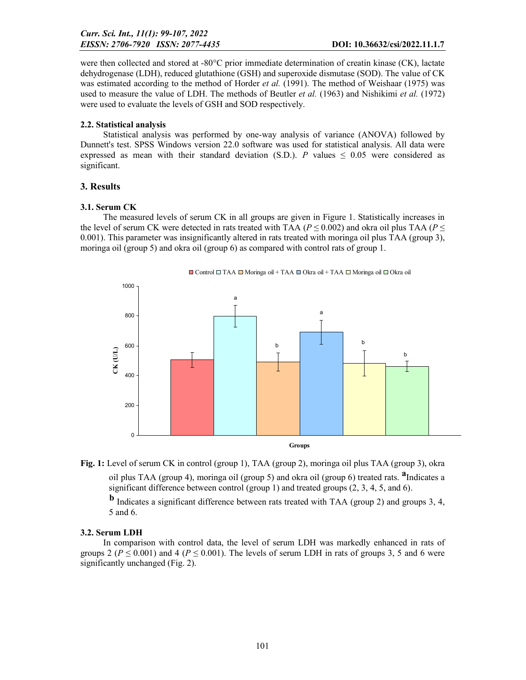were then collected and stored at -80°C prior immediate determination of creatin kinase (CK), lactate dehydrogenase (LDH), reduced glutathione (GSH) and superoxide dismutase (SOD). The value of CK was estimated according to the method of Horder *et al.* (1991). The method of Weishaar (1975) was used to measure the value of LDH. The methods of Beutler *et al.* (1963) and Nishikimi *et al.* (1972) were used to evaluate the levels of GSH and SOD respectively.

#### 2.2. Statistical analysis

Statistical analysis was performed by one-way analysis of variance (ANOVA) followed by Dunnett's test. SPSS Windows version 22.0 software was used for statistical analysis. All data were expressed as mean with their standard deviation (S.D.). *P* values  $\leq 0.05$  were considered as significant.

#### 3. Results

#### 3.1. Serum CK

The measured levels of serum CK in all groups are given in Figure 1. Statistically increases in the level of serum CK were detected in rats treated with TAA ( $P \le 0.002$ ) and okra oil plus TAA ( $P \le$ 0.001). This parameter was insignificantly altered in rats treated with moringa oil plus TAA (group 3), moringa oil (group 5) and okra oil (group 6) as compared with control rats of group 1.







significant difference between control (group 1) and treated groups  $(2, 3, 4, 5,$  and 6).

 <sup>b</sup> Indicates a significant difference between rats treated with TAA (group 2) and groups 3, 4, 5 and 6.

#### 3.2. Serum LDH

In comparison with control data, the level of serum LDH was markedly enhanced in rats of groups 2 ( $P \le 0.001$ ) and 4 ( $P \le 0.001$ ). The levels of serum LDH in rats of groups 3, 5 and 6 were significantly unchanged (Fig. 2).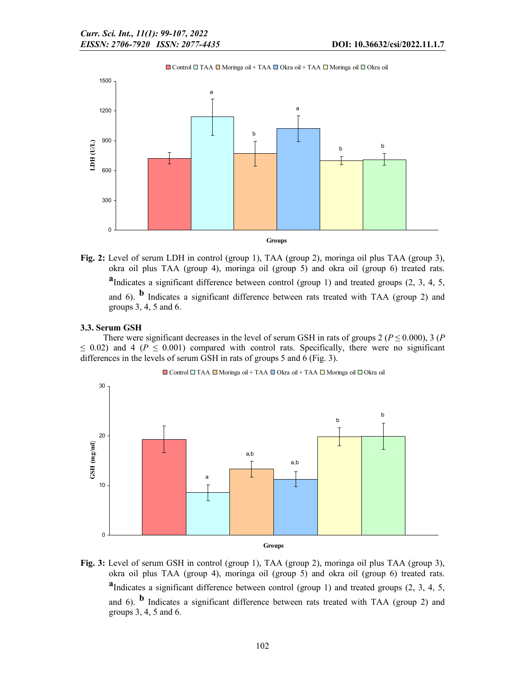■ Control □ TAA ■ Moringa oil + TAA ■ Okra oil + TAA ■ Moringa oil ■ Okra oil



Fig. 2: Level of serum LDH in control (group 1), TAA (group 2), moringa oil plus TAA (group 3), okra oil plus TAA (group 4), moringa oil (group 5) and okra oil (group 6) treated rats. <sup>a</sup>Indicates a significant difference between control (group 1) and treated groups  $(2, 3, 4, 5, 4)$ and 6).  $\bf{b}$  Indicates a significant difference between rats treated with TAA (group 2) and groups 3, 4, 5 and 6.

3.3. Serum GSH

There were significant decreases in the level of serum GSH in rats of groups 2 ( $P \le 0.000$ ), 3 (*P*)  $\leq$  0.02) and 4 ( $P \leq$  0.001) compared with control rats. Specifically, there were no significant differences in the levels of serum GSH in rats of groups 5 and 6 (Fig. 3).



$$
\Box
$$
 Control $\Box$ TAA $\Box$  Moringa oil + TAA $\Box$  Okra oil + TAA $\Box$  Moringa oil $\Box$  Okra oil

Fig. 3: Level of serum GSH in control (group 1), TAA (group 2), moringa oil plus TAA (group 3), okra oil plus TAA (group 4), moringa oil (group 5) and okra oil (group 6) treated rats. <sup>a</sup>Indicates a significant difference between control (group 1) and treated groups  $(2, 3, 4, 5, 4)$ and 6).  $\bf{b}$  Indicates a significant difference between rats treated with TAA (group 2) and groups 3, 4, 5 and 6.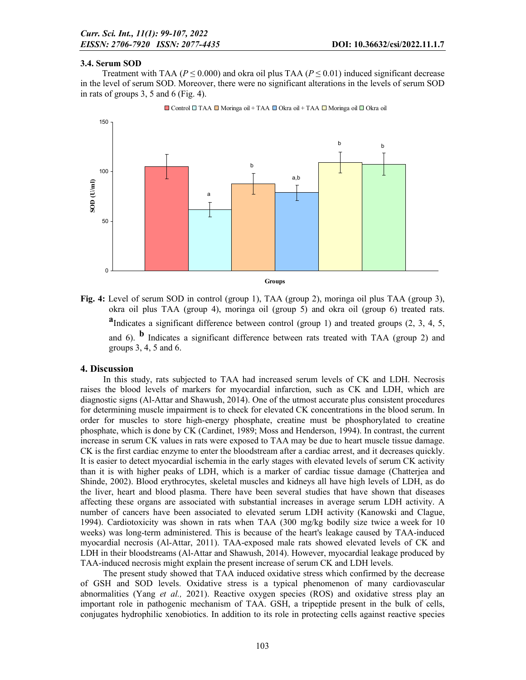#### 3.4. Serum SOD

Treatment with TAA ( $P \le 0.000$ ) and okra oil plus TAA ( $P \le 0.01$ ) induced significant decrease in the level of serum SOD. Moreover, there were no significant alterations in the levels of serum SOD in rats of groups 3, 5 and 6 (Fig. 4).



 $\Box$  Control  $\Box$  TAA  $\Box$  Moringa oil + TAA  $\Box$  Okra oil  $\Box$  Okra oil  $\Box$  Okra oil

Fig. 4: Level of serum SOD in control (group 1), TAA (group 2), moringa oil plus TAA (group 3), okra oil plus TAA (group 4), moringa oil (group 5) and okra oil (group 6) treated rats. <sup>a</sup>Indicates a significant difference between control (group 1) and treated groups  $(2, 3, 4, 5, 4)$ and 6).  $\mathbf{b}$  Indicates a significant difference between rats treated with TAA (group 2) and groups 3, 4, 5 and 6.

#### 4. Discussion

In this study, rats subjected to TAA had increased serum levels of CK and LDH. Necrosis raises the blood levels of markers for myocardial infarction, such as CK and LDH, which are diagnostic signs (Al-Attar and Shawush, 2014). One of the utmost accurate plus consistent procedures for determining muscle impairment is to check for elevated CK concentrations in the blood serum. In order for muscles to store high-energy phosphate, creatine must be phosphorylated to creatine phosphate, which is done by CK (Cardinet, 1989; Moss and Henderson, 1994). In contrast, the current increase in serum CK values in rats were exposed to TAA may be due to heart muscle tissue damage. CK is the first cardiac enzyme to enter the bloodstream after a cardiac arrest, and it decreases quickly. It is easier to detect myocardial ischemia in the early stages with elevated levels of serum CK activity than it is with higher peaks of LDH, which is a marker of cardiac tissue damage (Chatterjea and Shinde, 2002). Blood erythrocytes, skeletal muscles and kidneys all have high levels of LDH, as do the liver, heart and blood plasma. There have been several studies that have shown that diseases affecting these organs are associated with substantial increases in average serum LDH activity. A number of cancers have been associated to elevated serum LDH activity (Kanowski and Clague, 1994). Cardiotoxicity was shown in rats when TAA (300 mg/kg bodily size twice a week for 10 weeks) was long-term administered. This is because of the heart's leakage caused by TAA-induced myocardial necrosis (Al-Attar, 2011). TAA-exposed male rats showed elevated levels of CK and LDH in their bloodstreams (Al-Attar and Shawush, 2014). However, myocardial leakage produced by TAA-induced necrosis might explain the present increase of serum CK and LDH levels.

The present study showed that TAA induced oxidative stress which confirmed by the decrease of GSH and SOD levels. Oxidative stress is a typical phenomenon of many cardiovascular abnormalities (Yang *et al.,* 2021). Reactive oxygen species (ROS) and oxidative stress play an important role in pathogenic mechanism of TAA. GSH, a tripeptide present in the bulk of cells, conjugates hydrophilic xenobiotics. In addition to its role in protecting cells against reactive species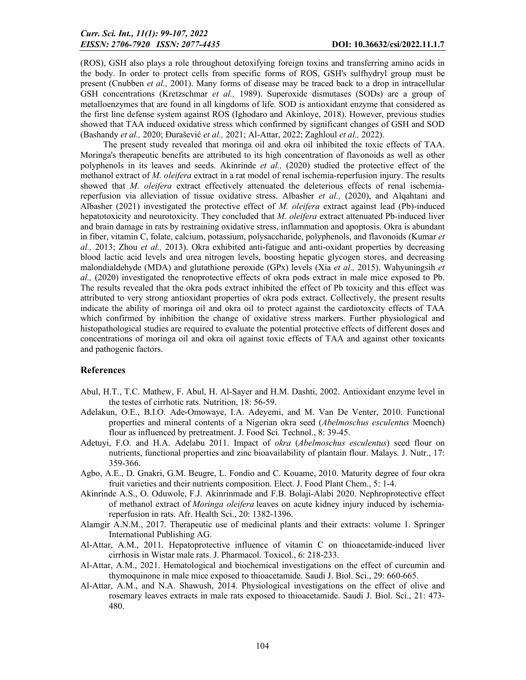(ROS), GSH also plays a role throughout detoxifying foreign toxins and transferring amino acids in the body. In order to protect cells from specific forms of ROS, GSH's sulfhydryl group must be present (Cnubben *et al.,* 2001). Many forms of disease may be traced back to a drop in intracellular GSH concentrations (Kretzschmar *et al.,* 1989). Superoxide dismutases (SODs) are a group of metalloenzymes that are found in all kingdoms of life. SOD is antioxidant enzyme that considered as the first line defense system against ROS (Ighodaro and Akinloye, 2018). However, previous studies showed that TAA induced oxidative stress which confirmed by significant changes of GSH and SOD (Bashandy *et al.,* 2020; Đurašević *et al.,* 2021; Al-Attar, 2022; Zaghloul *et al.,* 2022).

The present study revealed that moringa oil and okra oil inhibited the toxic effects of TAA. Moringa's therapeutic benefits are attributed to its high concentration of flavonoids as well as other polyphenols in its leaves and seeds. Akinrinde *et al.,* (2020) studied the protective effect of the methanol extract of *M. oleifera* extract in a rat model of renal ischemia-reperfusion injury. The results showed that *M. oleifera* extract effectively attenuated the deleterious effects of renal ischemiareperfusion via alleviation of tissue oxidative stress. Albasher *et al.,* (2020), and Alqahtani and Albasher (2021) investigated the protective effect of *M. oleifera* extract against lead (Pb)-induced hepatotoxicity and neurotoxicity. They concluded that *M. oleifera* extract attenuated Pb-induced liver and brain damage in rats by restraining oxidative stress, inflammation and apoptosis. Okra is abundant in fiber, vitamin C, folate, calcium, potassium, polysaccharide, polyphenols, and flavonoids (Kumar *et al.,* 2013; Zhou *et al.,* 2013). Okra exhibited anti-fatigue and anti-oxidant properties by decreasing blood lactic acid levels and urea nitrogen levels, boosting hepatic glycogen stores, and decreasing malondialdehyde (MDA) and glutathione peroxide (GPx) levels (Xia *et al.,* 2015). Wahyuningsih *et al.,* (2020) investigated the renoprotective effects of okra pods extract in male mice exposed to Pb. The results revealed that the okra pods extract inhibited the effect of Pb toxicity and this effect was attributed to very strong antioxidant properties of okra pods extract. Collectively, the present results indicate the ability of moringa oil and okra oil to protect against the cardiotoxcity effects of TAA which confirmed by inhibition the change of oxidative stress markers. Further physiological and histopathological studies are required to evaluate the potential protective effects of different doses and concentrations of moringa oil and okra oil against toxic effects of TAA and against other toxicants and pathogenic factors.

#### References

- Abul, H.T., T.C. Mathew, F. Abul, H. Al-Sayer and H.M. Dashti, 2002. Antioxidant enzyme level in the testes of cirrhotic rats. Nutrition, 18: 56-59.
- Adelakun, O.E., B.I.O. Ade-Omowaye, I.A. Adeyemi, and M. Van De Venter, 2010. Functional properties and mineral contents of a Nigerian okra seed (*Abelmoschus esculentus* Moench) flour as influenced by pretreatment. J. Food Sci*.* Technol., 8: 39-45.
- Adetuyi, F.O. and H.A. Adelabu 2011. Impact of *okra* (*Abelmoschus esculentus*) seed flour on nutrients, functional properties and zinc bioavailability of plantain flour. Malays. J. Nutr., 17: 359-366.
- Agbo, A.E., D. Gnakri, G.M. Beugre, L. Fondio and C. Kouame, 2010. Maturity degree of four okra fruit varieties and their nutrients composition. Elect. J. Food Plant Chem., 5: 1-4.
- Akinrinde A.S., O. Oduwole, F.J. Akinrinmade and F.B. Bolaji-Alabi 2020. Nephroprotective effect of methanol extract of *Moringa oleifera* leaves on acute kidney injury induced by ischemiareperfusion in rats. Afr. Health Sci., 20: 1382-1396.
- Alamgir A.N.M., 2017. Therapeutic use of medicinal plants and their extracts: volume 1. Springer International Publishing AG.
- Al-Attar, A.M., 2011. Hepatoprotective influence of vitamin C on thioacetamide-induced liver cirrhosis in Wistar male rats. J. Pharmacol. Toxicol., 6: 218-233.
- Al-Attar, A.M., 2021. Hematological and biochemical investigations on the effect of curcumin and thymoquinone in male mice exposed to thioacetamide. Saudi J. Biol. Sci., 29: 660-665.
- Al-Attar, A.M., and N.A. Shawush, 2014. Physiological investigations on the effect of olive and rosemary leaves extracts in male rats exposed to thioacetamide. Saudi J. Biol. Sci., 21: 473- 480.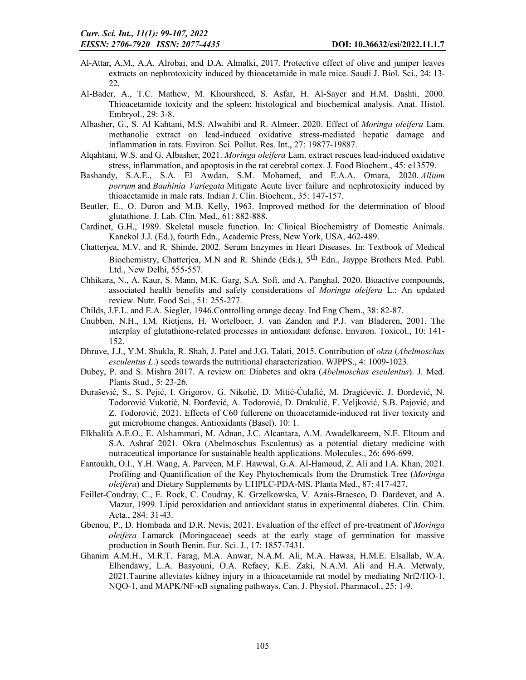- Al-Attar, A.M., A.A. Alrobai, and D.A. Almalki, 2017. Protective effect of olive and juniper leaves extracts on nephrotoxicity induced by thioacetamide in male mice. Saudi J. Biol. Sci., 24: 13- 22.
- Al-Bader, A., T.C. Mathew, M. Khoursheed, S. Asfar, H. Al-Sayer and H.M. Dashti, 2000. Thioacetamide toxicity and the spleen: histological and biochemical analysis. Anat. Histol. Embryol., 29: 3-8.
- Albasher, G., S. Al Kahtani, M.S. Alwahibi and R. Almeer, 2020. Effect of *Moringa oleifera* Lam. methanolic extract on lead-induced oxidative stress-mediated hepatic damage and inflammation in rats. Environ. Sci. Pollut. Res. Int., 27: 19877-19887.
- Alqahtani, W.S. and G. Albasher, 2021. *Moringa oleifera* Lam. extract rescues lead-induced oxidative stress, inflammation, and apoptosis in the rat cerebral cortex. J. Food Biochem., 45: e13579.
- Bashandy, S.A.E., S.A. El Awdan, S.M. Mohamed, and E.A.A. Omara, 2020. *Allium porrum* and *Bauhinia Variegata* Mitigate Acute liver failure and nephrotoxicity induced by thioacetamide in male rats. Indian J. Clin. Biochem., 35: 147-157.
- Beutler, E., O. Duron and M.B. Kelly, 1963. Improved method for the determination of blood glutathione. J. Lab. Clin. Med., 61: 882-888.
- Cardinet, G.H., 1989. Skeletal muscle function. In: Clinical Biochemistry of Domestic Animals. Kanekol J.J. (Ed.), fourth Edn., Academic Press, New York, USA, 462-489.
- Chatterjea, M.V. and R. Shinde, 2002. Serum Enzymes in Heart Diseases. In: Textbook of Medical Biochemistry, Chatterjea, M.N and R. Shinde (Eds.), 5th Edn., Jayppe Brothers Med. Publ. Ltd., New Delhi, 555-557.
- Chhikara, N., A. Kaur, S. Mann, M.K. Garg, S.A. Sofi, and A. Panghal, 2020. Bioactive compounds, associated health benefits and safety considerations of *Moringa oleifera* L.: An updated review. Nutr. Food Sci., 51: 255-277.
- Childs, J.F.L. and E.A. Siegler, 1946.Controlling orange decay. Ind Eng Chem., 38: 82-87.
- Cnubben, N.H., I.M. Rietjens, H. Wortelboer, J. van Zanden and P.J. van Bladeren, 2001. The interplay of glutathione-related processes in antioxidant defense. Environ. Toxicol., 10: 141- 152.
- Dhruve, J.J., Y.M. Shukla, R. Shah, J. Patel and J.G. Talati, 2015. Contribution of *okra* (*Abelmoschus esculentus L*.) seeds towards the nutritional characterization. WJPPS., 4: 1009-1023.
- Dubey, P. and S. Mishra 2017. A review on: Diabetes and okra (*Abelmoschus esculentus*). J. Med. Plants Stud., 5: 23-26.
- Đurašević, S., S. Pejić, I. Grigorov, G. Nikolić, D. Mitić-Ćulafić, M. Dragićević, J. Đorđević, N. Todorović Vukotić, N. Đorđević, A. Todorović, D. Drakulić, F. Veljković, S.B. Pajović, and Z. Todorović, 2021. Effects of C60 fullerene on thioacetamide-induced rat liver toxicity and gut microbiome changes. Antioxidants (Basel). 10: 1.
- Elkhalifa A.E.O., E. Alshammari, M. Adnan, J.C. Alcantara, A.M. Awadelkareem, N.E. Eltoum and S.A. Ashraf 2021. Okra (Abelmoschus Esculentus) as a potential dietary medicine with nutraceutical importance for sustainable health applications. Molecules., 26: 696-699.
- Fantoukh, O.I., Y.H. Wang, A. Parveen, M.F. Hawwal, G.A. Al-Hamoud, Z. Ali and I.A. Khan, 2021. Profiling and Quantification of the Key Phytochemicals from the Drumstick Tree (*Moringa oleifera*) and Dietary Supplements by UHPLC-PDA-MS. Planta Med., 87: 417-427.
- Feillet-Coudray, C., E. Rock, C. Coudray, K. Grzelkowska, V. Azais-Braesco, D. Dardevet, and A. Mazur, 1999. Lipid peroxidation and antioxidant status in experimental diabetes. Clin. Chim. Acta., 284: 31-43.
- Gbenou, P., D. Hombada and D.R. Nevis, 2021. Evaluation of the effect of pre-treatment of *Moringa oleifera* Lamarck (Moringaceae) seeds at the early stage of germination for massive production in South Benin. Eur. Sci. J., 17: 1857-7431.
- Ghanim A.M.H., M.R.T. Farag, M.A. Anwar, N.A.M. Ali, M.A. Hawas, H.M.E. Elsallab, W.A. Elhendawy, L.A. Basyouni, O.A. Refaey, K.E. Zaki, N.A.M. Ali and H.A. Metwaly, 2021.Taurine alleviates kidney injury in a thioacetamide rat model by mediating Nrf2/HO-1, NQO-1, and MAPK/NF-κB signaling pathways. Can. J. Physiol. Pharmacol., 25: 1-9.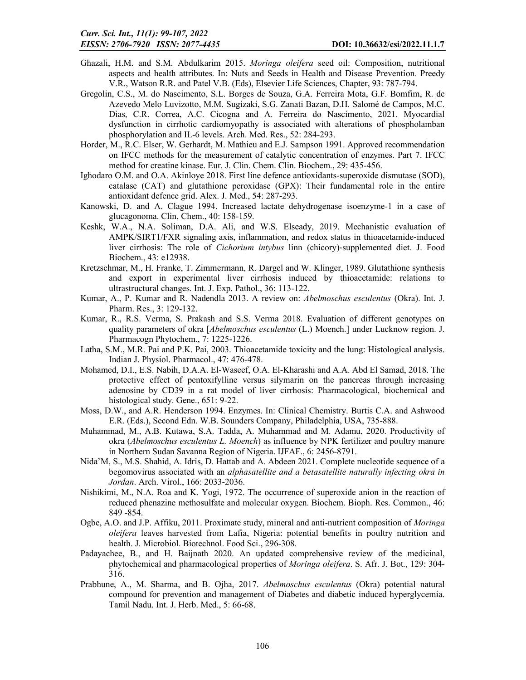- Ghazali, H.M. and S.M. Abdulkarim 2015. *Moringa oleifera* seed oil: Composition, nutritional aspects and health attributes. In: Nuts and Seeds in Health and Disease Prevention. Preedy V.R., Watson R.R. and Patel V.B. (Eds), Elsevier Life Sciences, Chapter, 93: 787-794.
- Gregolin, C.S., M. do Nascimento, S.L. Borges de Souza, G.A. Ferreira Mota, G.F. Bomfim, R. de Azevedo Melo Luvizotto, M.M. Sugizaki, S.G. Zanati Bazan, D.H. Salomé de Campos, M.C. Dias, C.R. Correa, A.C. Cicogna and A. Ferreira do Nascimento, 2021. Myocardial dysfunction in cirrhotic cardiomyopathy is associated with alterations of phospholamban phosphorylation and IL-6 levels. Arch. Med. Res., 52: 284-293.
- Horder, M., R.C. Elser, W. Gerhardt, M. Mathieu and E.J. Sampson 1991. Approved recommendation on IFCC methods for the measurement of catalytic concentration of enzymes. Part 7. IFCC method for creatine kinase. Eur. J. Clin. Chem. Clin. Biochem., 29: 435-456.
- Ighodaro O.M. and O.A. Akinloye 2018. First line defence antioxidants-superoxide dismutase (SOD), catalase (CAT) and glutathione peroxidase (GPX): Their fundamental role in the entire antioxidant defence grid. Alex. J. Med., 54: 287-293.
- Kanowski, D. and A. Clague 1994. Increased lactate dehydrogenase isoenzyme-1 in a case of glucagonoma. Clin. Chem., 40: 158-159.
- Keshk, W.A., N.A. Soliman, D.A. Ali, and W.S. Elseady, 2019. Mechanistic evaluation of AMPK/SIRT1/FXR signaling axis, inflammation, and redox status in thioacetamide‐induced liver cirrhosis: The role of *Cichorium intybus* linn (chicory)‐supplemented diet. J. Food Biochem., 43: e12938.
- Kretzschmar, M., H. Franke, T. Zimmermann, R. Dargel and W. Klinger, 1989. Glutathione synthesis and export in experimental liver cirrhosis induced by thioacetamide: relations to ultrastructural changes. Int. J. Exp. Pathol., 36: 113-122.
- Kumar, A., P. Kumar and R. Nadendla 2013. A review on: *Abelmoschus esculentus* (Okra). Int. J. Pharm. Res., 3: 129-132.
- Kumar, R., R.S. Verma, S. Prakash and S.S. Verma 2018. Evaluation of different genotypes on quality parameters of okra [*Abelmoschus esculentus* (L.) Moench.] under Lucknow region. J. Pharmacogn Phytochem., 7: 1225-1226.
- Latha, S.M., M.R. Pai and P.K. Pai, 2003. Thioacetamide toxicity and the lung: Histological analysis. Indian J. Physiol. Pharmacol., 47: 476-478.
- Mohamed, D.I., E.S. Nabih, D.A.A. El-Waseef, O.A. El-Kharashi and A.A. Abd El Samad, 2018. The protective effect of pentoxifylline versus silymarin on the pancreas through increasing adenosine by CD39 in a rat model of liver cirrhosis: Pharmacological, biochemical and histological study. Gene., 651: 9-22.
- Moss, D.W., and A.R. Henderson 1994. Enzymes. In: Clinical Chemistry. Burtis C.A. and Ashwood E.R. (Eds.), Second Edn. W.B. Sounders Company, Philadelphia, USA, 735-888.
- Muhammad, M., A.B. Kutawa, S.A. Tadda, A. Muhammad and M. Adamu, 2020. Productivity of okra (*Abelmoschus esculentus L. Moench*) as influence by NPK fertilizer and poultry manure in Northern Sudan Savanna Region of Nigeria. IJFAF., 6: 2456-8791.
- Nida'M, S., M.S. Shahid, A. Idris, D. Hattab and A. Abdeen 2021. Complete nucleotide sequence of a begomovirus associated with an *alphasatellite and a betasatellite naturally infecting okra in Jordan*. Arch. Virol., 166: 2033-2036.
- Nishikimi, M., N.A. Roa and K. Yogi, 1972. The occurrence of superoxide anion in the reaction of reduced phenazine methosulfate and molecular oxygen. Biochem. Bioph. Res. Common., 46: 849 -854.
- Ogbe, A.O. and J.P. Affiku, 2011. Proximate study, mineral and anti-nutrient composition of *Moringa oleifera* leaves harvested from Lafia, Nigeria: potential benefits in poultry nutrition and health. J. Microbiol. Biotechnol. Food Sci., 296-308.
- Padayachee, B., and H. Baijnath 2020. An updated comprehensive review of the medicinal, phytochemical and pharmacological properties of *Moringa oleifera*. S. Afr. J. Bot., 129: 304- 316.
- Prabhune, A., M. Sharma, and B. Ojha, 2017. *Abelmoschus esculentus* (Okra) potential natural compound for prevention and management of Diabetes and diabetic induced hyperglycemia. Tamil Nadu. Int. J. Herb. Med., 5: 66-68.